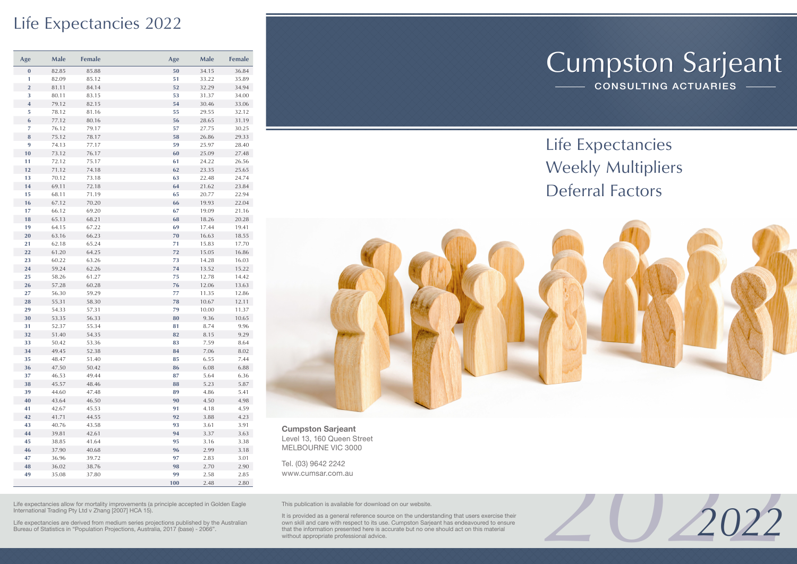### Life Expectancies 2022

| Age                     | Male  | Female | Age | Male  | Female |
|-------------------------|-------|--------|-----|-------|--------|
| $\pmb{0}$               | 82.85 | 85.88  | 50  | 34.15 | 36.84  |
| 1                       | 82.09 | 85.12  | 51  | 33.22 | 35.89  |
| $\overline{2}$          | 81.11 | 84.14  | 52  | 32.29 | 34.94  |
| 3                       | 80.11 | 83.15  | 53  | 31.37 | 34.00  |
| $\overline{\mathbf{4}}$ | 79.12 | 82.15  | 54  | 30.46 | 33.06  |
| 5                       | 78.12 | 81.16  | 55  | 29.55 | 32.12  |
| $\boldsymbol{6}$        | 77.12 | 80.16  | 56  | 28.65 | 31.19  |
| 7                       | 76.12 | 79.17  | 57  | 27.75 | 30.25  |
| 8                       | 75.12 | 78.17  | 58  | 26.86 | 29.33  |
| 9                       | 74.13 | 77.17  | 59  | 25.97 | 28.40  |
| 10                      | 73.12 | 76.17  | 60  | 25.09 | 27.48  |
| 11                      | 72.12 | 75.17  | 61  | 24.22 | 26.56  |
| 12                      | 71.12 | 74.18  | 62  | 23.35 | 25.65  |
| 13                      | 70.12 | 73.18  | 63  | 22.48 | 24.74  |
| 14                      | 69.11 | 72.18  | 64  | 21.62 | 23.84  |
| 15                      | 68.11 | 71.19  | 65  | 20.77 | 22.94  |
| 16                      | 67.12 | 70.20  | 66  | 19.93 | 22.04  |
| 17                      | 66.12 | 69.20  | 67  | 19.09 | 21.16  |
| 18                      | 65.13 | 68.21  | 68  | 18.26 | 20.28  |
| 19                      | 64.15 | 67.22  | 69  | 17.44 | 19.41  |
| 20                      | 63.16 | 66.23  | 70  | 16.63 | 18.55  |
| 21                      | 62.18 | 65.24  | 71  | 15.83 | 17.70  |
| 22                      | 61.20 | 64.25  | 72  | 15.05 | 16.86  |
| 23                      | 60.22 | 63.26  | 73  | 14.28 | 16.03  |
| 24                      | 59.24 | 62.26  | 74  | 13.52 | 15.22  |
| 25                      | 58.26 | 61.27  | 75  | 12.78 | 14.42  |
| 26                      | 57.28 | 60.28  | 76  | 12.06 | 13.63  |
| 27                      | 56.30 | 59.29  | 77  | 11.35 | 12.86  |
| 28                      | 55.31 | 58.30  | 78  | 10.67 | 12.11  |
| 29                      | 54.33 | 57.31  | 79  | 10.00 | 11.37  |
| 30                      | 53.35 | 56.33  | 80  | 9.36  | 10.65  |
| 31                      | 52.37 | 55.34  | 81  | 8.74  | 9.96   |
| 32                      | 51.40 | 54.35  | 82  | 8.15  | 9.29   |
| 33                      | 50.42 | 53.36  | 83  | 7.59  | 8.64   |
| 34                      | 49.45 | 52.38  | 84  | 7.06  | 8.02   |
| 35                      | 48.47 | 51.40  | 85  | 6.55  | 7.44   |
| 36                      | 47.50 | 50.42  | 86  | 6.08  | 6.88   |
| 37                      | 46.53 | 49.44  | 87  | 5.64  | 6.36   |
| 38                      | 45.57 | 48.46  | 88  | 5.23  | 5.87   |
| 39                      | 44.60 | 47.48  | 89  | 4.86  | 5.41   |
| 40                      | 43.64 | 46.50  | 90  | 4.50  | 4.98   |
| 41                      | 42.67 | 45.53  | 91  | 4.18  | 4.59   |
| 42                      | 41.71 | 44.55  | 92  | 3.88  | 4.23   |
| 43                      | 40.76 | 43.58  | 93  | 3.61  | 3.91   |
| 44                      | 39.81 | 42.61  | 94  | 3.37  | 3.63   |
| 45                      | 38.85 | 41.64  | 95  | 3.16  | 3.38   |
| 46                      | 37.90 | 40.68  | 96  | 2.99  | 3.18   |
| 47                      | 36.96 | 39.72  | 97  | 2.83  | 3.01   |
| 48                      | 36.02 | 38.76  | 98  | 2.70  | 2.90   |
| 49                      | 35.08 | 37.80  | 99  | 2.58  | 2.85   |
|                         |       |        | 100 | 2.48  | 2.80   |

# Cumpston Sarjeant

CONSULTING ACTUARIES

Life Expectancies Weekly Multipliers Deferral Factors



**Cumpston Sarjeant**

Level 13, 160 Queen Street MELBOURNE VIC 3000

Tel. (03) 9642 2242 www.cumsar.com.au

Life expectancies allow for mortality improvements (a principle accepted in Golden Eagle International Trading Pty Ltd v Zhang [2007] HCA 15).

Life expectancies are derived from medium series projections published by the Australian Bureau of Statistics in "Population Projections, Australia, 2017 (base) - 2066".

This publication is available for download on our website.

It is provided as a general reference source on the understanding that users exercise their own skill and care with respect to its use. Cumpston Sarjeant has endeavoured to ensure that the information presented here is accurate but no one should act on this material without appropriate professional advice.